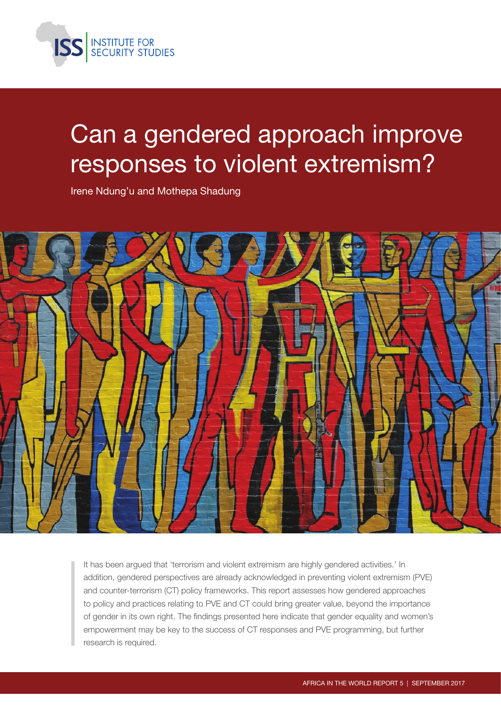

# Can a gendered approach improve responses to violent extremism?

Irene Ndung'u and Mothepa Shadung



It has been argued that 'terrorism and violent extremism are highly gendered activities.' In addition, gendered perspectives are already acknowledged in preventing violent extremism (PVE) and counter-terrorism (CT) policy frameworks. This report assesses how gendered approaches to policy and practices relating to PVE and CT could bring greater value, beyond the importance of gender in its own right. The findings presented here indicate that gender equality and women's empowerment may be key to the success of CT responses and PVE programming, but further research is required.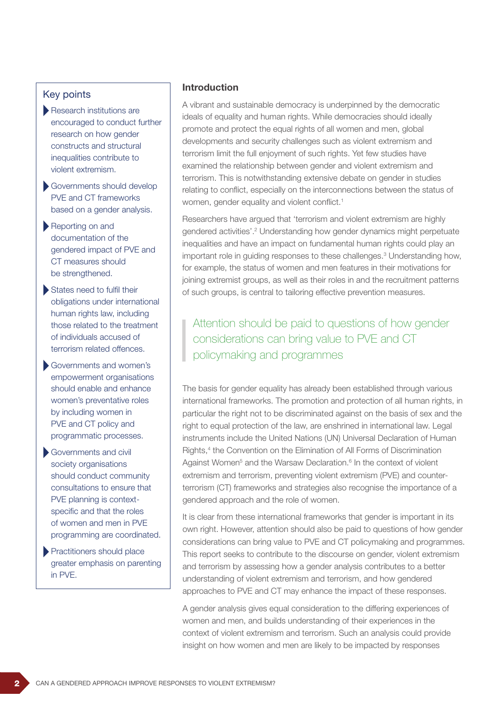#### Key points

- Research institutions are encouraged to conduct further research on how gender constructs and structural inequalities contribute to violent extremism.
- Governments should develop PVE and CT frameworks based on a gender analysis.
- Reporting on and documentation of the gendered impact of PVE and CT measures should be strengthened.
- States need to fulfil their obligations under international human rights law, including those related to the treatment of individuals accused of terrorism related offences.
- Governments and women's empowerment organisations should enable and enhance women's preventative roles by including women in PVE and CT policy and programmatic processes.
- Governments and civil society organisations should conduct community consultations to ensure that PVE planning is contextspecific and that the roles of women and men in PVE programming are coordinated.
- **Practitioners should place** greater emphasis on parenting in PVE.

#### Introduction

A vibrant and sustainable democracy is underpinned by the democratic ideals of equality and human rights. While democracies should ideally promote and protect the equal rights of all women and men, global developments and security challenges such as violent extremism and terrorism limit the full enjoyment of such rights. Yet few studies have examined the relationship between gender and violent extremism and terrorism. This is notwithstanding extensive debate on gender in studies relating to conflict, especially on the interconnections between the status of women, gender equality and violent conflict.<sup>1</sup>

Researchers have argued that 'terrorism and violent extremism are highly gendered activities'.2 Understanding how gender dynamics might perpetuate inequalities and have an impact on fundamental human rights could play an important role in guiding responses to these challenges.<sup>3</sup> Understanding how, for example, the status of women and men features in their motivations for joining extremist groups, as well as their roles in and the recruitment patterns of such groups, is central to tailoring effective prevention measures.

Attention should be paid to questions of how gender considerations can bring value to PVE and CT policymaking and programmes

The basis for gender equality has already been established through various international frameworks. The promotion and protection of all human rights, in particular the right not to be discriminated against on the basis of sex and the right to equal protection of the law, are enshrined in international law. Legal instruments include the United Nations (UN) Universal Declaration of Human Rights,<sup>4</sup> the Convention on the Elimination of All Forms of Discrimination Against Women<sup>5</sup> and the Warsaw Declaration.<sup>6</sup> In the context of violent extremism and terrorism, preventing violent extremism (PVE) and counterterrorism (CT) frameworks and strategies also recognise the importance of a gendered approach and the role of women.

It is clear from these international frameworks that gender is important in its own right. However, attention should also be paid to questions of how gender considerations can bring value to PVE and CT policymaking and programmes. This report seeks to contribute to the discourse on gender, violent extremism and terrorism by assessing how a gender analysis contributes to a better understanding of violent extremism and terrorism, and how gendered approaches to PVE and CT may enhance the impact of these responses.

A gender analysis gives equal consideration to the differing experiences of women and men, and builds understanding of their experiences in the context of violent extremism and terrorism. Such an analysis could provide insight on how women and men are likely to be impacted by responses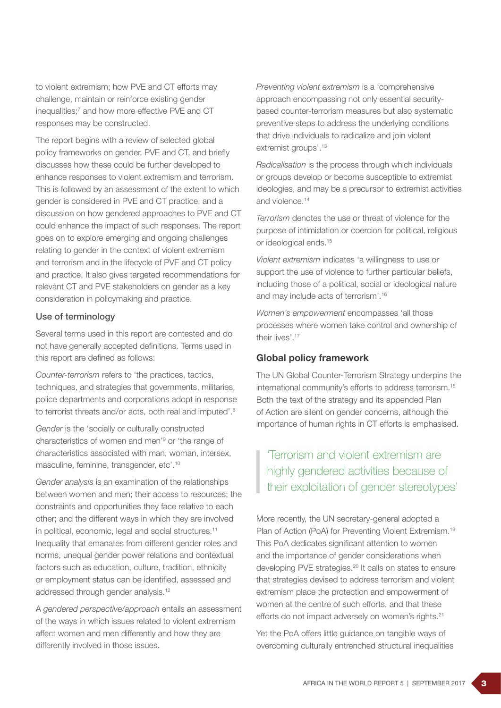to violent extremism; how PVE and CT efforts may challenge, maintain or reinforce existing gender inequalities;<sup>7</sup> and how more effective PVE and CT responses may be constructed.

The report begins with a review of selected global policy frameworks on gender, PVE and CT, and briefly discusses how these could be further developed to enhance responses to violent extremism and terrorism. This is followed by an assessment of the extent to which gender is considered in PVE and CT practice, and a discussion on how gendered approaches to PVE and CT could enhance the impact of such responses. The report goes on to explore emerging and ongoing challenges relating to gender in the context of violent extremism and terrorism and in the lifecycle of PVE and CT policy and practice. It also gives targeted recommendations for relevant CT and PVE stakeholders on gender as a key consideration in policymaking and practice.

#### Use of terminology

Several terms used in this report are contested and do not have generally accepted definitions. Terms used in this report are defined as follows:

*Counter-terrorism* refers to 'the practices, tactics, techniques, and strategies that governments, militaries, police departments and corporations adopt in response to terrorist threats and/or acts, both real and imputed'.<sup>8</sup>

*Gender* is the 'socially or culturally constructed characteristics of women and men'9 or 'the range of characteristics associated with man, woman, intersex, masculine, feminine, transgender, etc'.10

*Gender analysis* is an examination of the relationships between women and men; their access to resources; the constraints and opportunities they face relative to each other; and the different ways in which they are involved in political, economic, legal and social structures.<sup>11</sup> Inequality that emanates from different gender roles and norms, unequal gender power relations and contextual factors such as education, culture, tradition, ethnicity or employment status can be identified, assessed and addressed through gender analysis.<sup>12</sup>

A *gendered perspective/approach* entails an assessment of the ways in which issues related to violent extremism affect women and men differently and how they are differently involved in those issues.

*Preventing violent extremism* is a 'comprehensive approach encompassing not only essential securitybased counter-terrorism measures but also systematic preventive steps to address the underlying conditions that drive individuals to radicalize and join violent extremist groups'.<sup>13</sup>

*Radicalisation* is the process through which individuals or groups develop or become susceptible to extremist ideologies, and may be a precursor to extremist activities and violence.<sup>14</sup>

*Terrorism* denotes the use or threat of violence for the purpose of intimidation or coercion for political, religious or ideological ends.15

*Violent extremism* indicates 'a willingness to use or support the use of violence to further particular beliefs, including those of a political, social or ideological nature and may include acts of terrorism'.16

*Women's empowerment* encompasses 'all those processes where women take control and ownership of their lives'.<sup>17</sup>

#### Global policy framework

The UN Global Counter-Terrorism Strategy underpins the international community's efforts to address terrorism.18 Both the text of the strategy and its appended Plan of Action are silent on gender concerns, although the importance of human rights in CT efforts is emphasised.

## 'Terrorism and violent extremism are highly gendered activities because of their exploitation of gender stereotypes'

More recently, the UN secretary-general adopted a Plan of Action (PoA) for Preventing Violent Extremism.<sup>19</sup> This PoA dedicates significant attention to women and the importance of gender considerations when developing PVE strategies.<sup>20</sup> It calls on states to ensure that strategies devised to address terrorism and violent extremism place the protection and empowerment of women at the centre of such efforts, and that these efforts do not impact adversely on women's rights.<sup>21</sup>

Yet the PoA offers little guidance on tangible ways of overcoming culturally entrenched structural inequalities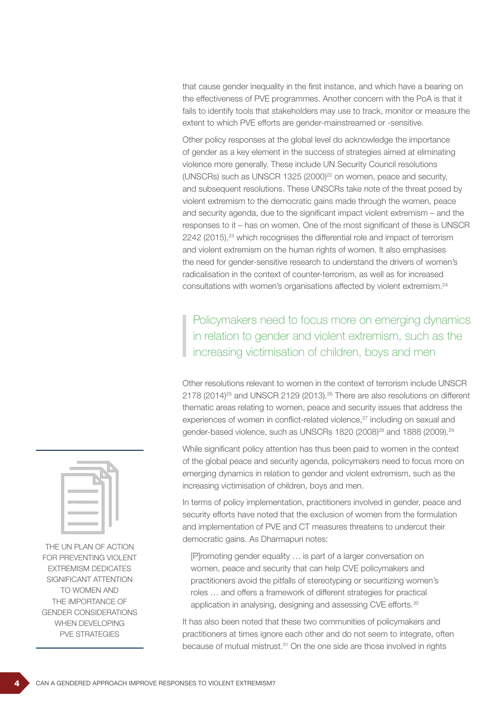that cause gender inequality in the first instance, and which have a bearing on the effectiveness of PVE programmes. Another concern with the PoA is that it fails to identify tools that stakeholders may use to track, monitor or measure the extent to which PVE efforts are gender-mainstreamed or -sensitive.

Other policy responses at the global level do acknowledge the importance of gender as a key element in the success of strategies aimed at eliminating violence more generally. These include UN Security Council resolutions (UNSCRs) such as UNSCR 1325 (2000) $^{22}$  on women, peace and security, and subsequent resolutions. These UNSCRs take note of the threat posed by violent extremism to the democratic gains made through the women, peace and security agenda, due to the significant impact violent extremism – and the responses to it – has on women. One of the most significant of these is UNSCR 2242 (2015),<sup>23</sup> which recognises the differential role and impact of terrorism and violent extremism on the human rights of women. It also emphasises the need for gender-sensitive research to understand the drivers of women's radicalisation in the context of counter-terrorism, as well as for increased consultations with women's organisations affected by violent extremism.24

Policymakers need to focus more on emerging dynamics in relation to gender and violent extremism, such as the increasing victimisation of children, boys and men

Other resolutions relevant to women in the context of terrorism include UNSCR 2178 (2014)<sup>25</sup> and UNSCR 2129 (2013).<sup>26</sup> There are also resolutions on different thematic areas relating to women, peace and security issues that address the experiences of women in conflict-related violence,<sup>27</sup> including on sexual and gender-based violence, such as UNSCRs 1820 (2008)<sup>28</sup> and 1888 (2009).<sup>29</sup>

While significant policy attention has thus been paid to women in the context of the global peace and security agenda, policymakers need to focus more on emerging dynamics in relation to gender and violent extremism, such as the increasing victimisation of children, boys and men.

In terms of policy implementation, practitioners involved in gender, peace and security efforts have noted that the exclusion of women from the formulation and implementation of PVE and CT measures threatens to undercut their democratic gains. As Dharmapuri notes:

[P]romoting gender equality … is part of a larger conversation on women, peace and security that can help CVE policymakers and practitioners avoid the pitfalls of stereotyping or securitizing women's roles … and offers a framework of different strategies for practical application in analysing, designing and assessing CVE efforts.<sup>30</sup>

It has also been noted that these two communities of policymakers and practitioners at times ignore each other and do not seem to integrate, often because of mutual mistrust.<sup>31</sup> On the one side are those involved in rights



THE UN PLAN OF ACTION FOR PREVENTING VIOLENT EXTREMISM DEDICATES SIGNIFICANT ATTENTION TO WOMEN AND THE IMPORTANCE OF GENDER CONSIDERATIONS WHEN DEVELOPING PVE STRATEGIES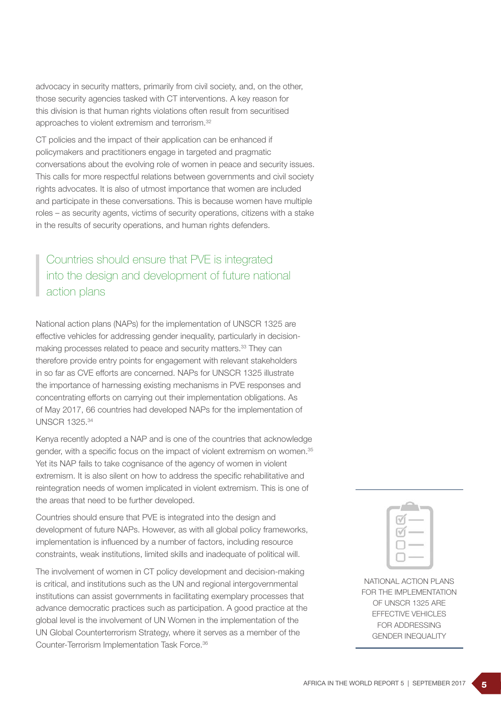advocacy in security matters, primarily from civil society, and, on the other, those security agencies tasked with CT interventions. A key reason for this division is that human rights violations often result from securitised approaches to violent extremism and terrorism.32

CT policies and the impact of their application can be enhanced if policymakers and practitioners engage in targeted and pragmatic conversations about the evolving role of women in peace and security issues. This calls for more respectful relations between governments and civil society rights advocates. It is also of utmost importance that women are included and participate in these conversations. This is because women have multiple roles – as security agents, victims of security operations, citizens with a stake in the results of security operations, and human rights defenders.

# Countries should ensure that PVE is integrated into the design and development of future national action plans

National action plans (NAPs) for the implementation of UNSCR 1325 are effective vehicles for addressing gender inequality, particularly in decisionmaking processes related to peace and security matters.<sup>33</sup> They can therefore provide entry points for engagement with relevant stakeholders in so far as CVE efforts are concerned. NAPs for UNSCR 1325 illustrate the importance of harnessing existing mechanisms in PVE responses and concentrating efforts on carrying out their implementation obligations. As of May 2017, 66 countries had developed NAPs for the implementation of UNSCR 1325.34

Kenya recently adopted a NAP and is one of the countries that acknowledge gender, with a specific focus on the impact of violent extremism on women.<sup>35</sup> Yet its NAP fails to take cognisance of the agency of women in violent extremism. It is also silent on how to address the specific rehabilitative and reintegration needs of women implicated in violent extremism. This is one of the areas that need to be further developed.

Countries should ensure that PVE is integrated into the design and development of future NAPs. However, as with all global policy frameworks, implementation is influenced by a number of factors, including resource constraints, weak institutions, limited skills and inadequate of political will.

The involvement of women in CT policy development and decision-making is critical, and institutions such as the UN and regional intergovernmental institutions can assist governments in facilitating exemplary processes that advance democratic practices such as participation. A good practice at the global level is the involvement of UN Women in the implementation of the UN Global Counterterrorism Strategy, where it serves as a member of the Counter-Terrorism Implementation Task Force.36



NATIONAL ACTION PLANS FOR THE IMPLEMENTATION OF UNSCR 1325 ARE FFFECTIVE VEHICLES FOR ADDRESSING GENDER INEQUALITY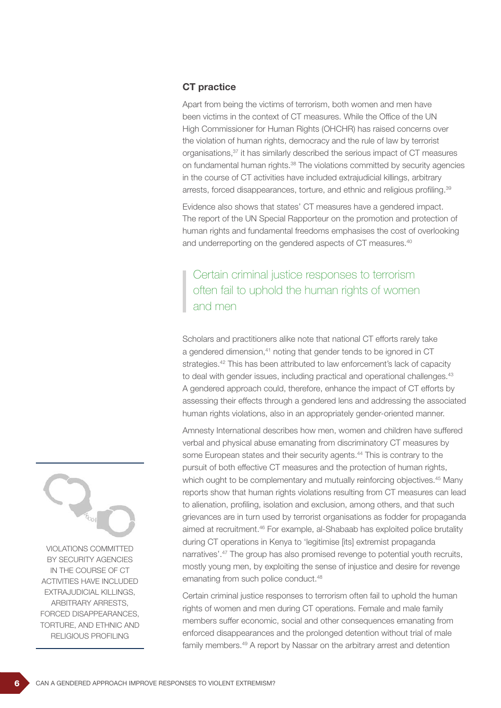## CT practice

Apart from being the victims of terrorism, both women and men have been victims in the context of CT measures. While the Office of the UN High Commissioner for Human Rights (OHCHR) has raised concerns over the violation of human rights, democracy and the rule of law by terrorist organisations,37 it has similarly described the serious impact of CT measures on fundamental human rights.38 The violations committed by security agencies in the course of CT activities have included extrajudicial killings, arbitrary arrests, forced disappearances, torture, and ethnic and religious profiling.<sup>39</sup>

Evidence also shows that states' CT measures have a gendered impact. The report of the UN Special Rapporteur on the promotion and protection of human rights and fundamental freedoms emphasises the cost of overlooking and underreporting on the gendered aspects of CT measures.<sup>40</sup>

## Certain criminal justice responses to terrorism often fail to uphold the human rights of women and men

Scholars and practitioners alike note that national CT efforts rarely take a gendered dimension,<sup>41</sup> noting that gender tends to be ignored in CT strategies.<sup>42</sup> This has been attributed to law enforcement's lack of capacity to deal with gender issues, including practical and operational challenges.<sup>43</sup> A gendered approach could, therefore, enhance the impact of CT efforts by assessing their effects through a gendered lens and addressing the associated human rights violations, also in an appropriately gender-oriented manner.

Amnesty International describes how men, women and children have suffered verbal and physical abuse emanating from discriminatory CT measures by some European states and their security agents.<sup>44</sup> This is contrary to the pursuit of both effective CT measures and the protection of human rights, which ought to be complementary and mutually reinforcing objectives.<sup>45</sup> Many reports show that human rights violations resulting from CT measures can lead to alienation, profiling, isolation and exclusion, among others, and that such grievances are in turn used by terrorist organisations as fodder for propaganda aimed at recruitment.46 For example, al-Shabaab has exploited police brutality during CT operations in Kenya to 'legitimise [its] extremist propaganda narratives'.47 The group has also promised revenge to potential youth recruits, mostly young men, by exploiting the sense of injustice and desire for revenge emanating from such police conduct.<sup>48</sup>

Certain criminal justice responses to terrorism often fail to uphold the human rights of women and men during CT operations. Female and male family members suffer economic, social and other consequences emanating from enforced disappearances and the prolonged detention without trial of male family members.<sup>49</sup> A report by Nassar on the arbitrary arrest and detention



VIOLATIONS COMMITTED BY SECURITY AGENCIES IN THE COURSE OF CT ACTIVITIES HAVE INCLUDED EXTRAJUDICIAL KILLINGS, ARBITRARY ARRESTS, FORCED DISAPPEARANCES, TORTURE, AND ETHNIC AND RELIGIOUS PROFILING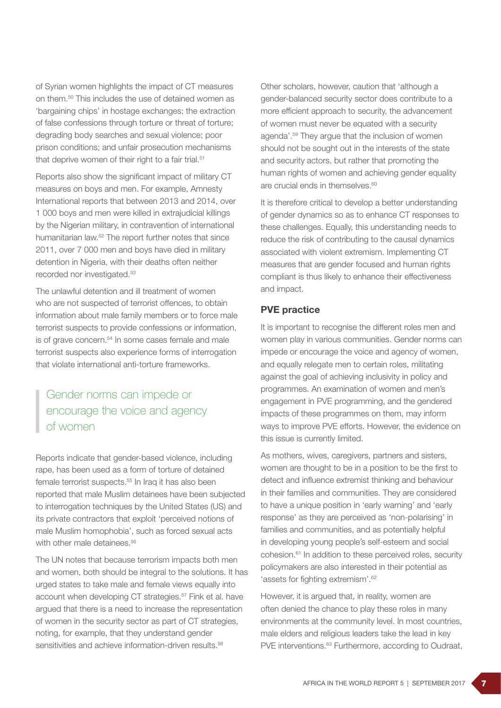of Syrian women highlights the impact of CT measures on them.50 This includes the use of detained women as 'bargaining chips' in hostage exchanges; the extraction of false confessions through torture or threat of torture; degrading body searches and sexual violence; poor prison conditions; and unfair prosecution mechanisms that deprive women of their right to a fair trial.<sup>51</sup>

Reports also show the significant impact of military CT measures on boys and men. For example, Amnesty International reports that between 2013 and 2014, over 1 000 boys and men were killed in extrajudicial killings by the Nigerian military, in contravention of international humanitarian law.<sup>52</sup> The report further notes that since 2011, over 7 000 men and boys have died in military detention in Nigeria, with their deaths often neither recorded nor investigated.53

The unlawful detention and ill treatment of women who are not suspected of terrorist offences, to obtain information about male family members or to force male terrorist suspects to provide confessions or information, is of grave concern.<sup>54</sup> In some cases female and male terrorist suspects also experience forms of interrogation that violate international anti-torture frameworks.

# Gender norms can impede or encourage the voice and agency of women

Reports indicate that gender-based violence, including rape, has been used as a form of torture of detained female terrorist suspects.<sup>55</sup> In Iraq it has also been reported that male Muslim detainees have been subjected to interrogation techniques by the United States (US) and its private contractors that exploit 'perceived notions of male Muslim homophobia', such as forced sexual acts with other male detainees.<sup>56</sup>

The UN notes that because terrorism impacts both men and women, both should be integral to the solutions. It has urged states to take male and female views equally into account when developing CT strategies.<sup>57</sup> Fink et al. have argued that there is a need to increase the representation of women in the security sector as part of CT strategies, noting, for example, that they understand gender sensitivities and achieve information-driven results.<sup>58</sup>

Other scholars, however, caution that 'although a gender-balanced security sector does contribute to a more efficient approach to security, the advancement of women must never be equated with a security agenda'.59 They argue that the inclusion of women should not be sought out in the interests of the state and security actors, but rather that promoting the human rights of women and achieving gender equality are crucial ends in themselves.<sup>60</sup>

It is therefore critical to develop a better understanding of gender dynamics so as to enhance CT responses to these challenges. Equally, this understanding needs to reduce the risk of contributing to the causal dynamics associated with violent extremism. Implementing CT measures that are gender focused and human rights compliant is thus likely to enhance their effectiveness and impact.

## PVE practice

It is important to recognise the different roles men and women play in various communities. Gender norms can impede or encourage the voice and agency of women, and equally relegate men to certain roles, militating against the goal of achieving inclusivity in policy and programmes. An examination of women and men's engagement in PVE programming, and the gendered impacts of these programmes on them, may inform ways to improve PVE efforts. However, the evidence on this issue is currently limited.

As mothers, wives, caregivers, partners and sisters, women are thought to be in a position to be the first to detect and influence extremist thinking and behaviour in their families and communities. They are considered to have a unique position in 'early warning' and 'early response' as they are perceived as 'non-polarising' in families and communities, and as potentially helpful in developing young people's self-esteem and social cohesion.61 In addition to these perceived roles, security policymakers are also interested in their potential as 'assets for fighting extremism'.62

However, it is argued that, in reality, women are often denied the chance to play these roles in many environments at the community level. In most countries, male elders and religious leaders take the lead in key PVE interventions.<sup>63</sup> Furthermore, according to Oudraat,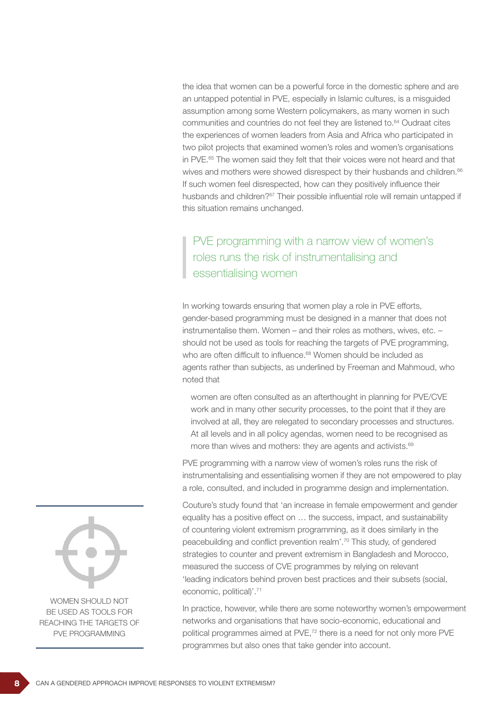the idea that women can be a powerful force in the domestic sphere and are an untapped potential in PVE, especially in Islamic cultures, is a misguided assumption among some Western policymakers, as many women in such communities and countries do not feel they are listened to.64 Oudraat cites the experiences of women leaders from Asia and Africa who participated in two pilot projects that examined women's roles and women's organisations in PVE.<sup>65</sup> The women said they felt that their voices were not heard and that wives and mothers were showed disrespect by their husbands and children.<sup>66</sup> If such women feel disrespected, how can they positively influence their husbands and children?<sup>67</sup> Their possible influential role will remain untapped if this situation remains unchanged.

# PVE programming with a narrow view of women's roles runs the risk of instrumentalising and essentialising women

In working towards ensuring that women play a role in PVE efforts, gender-based programming must be designed in a manner that does not instrumentalise them. Women – and their roles as mothers, wives, etc. – should not be used as tools for reaching the targets of PVE programming, who are often difficult to influence.<sup>68</sup> Women should be included as agents rather than subjects, as underlined by Freeman and Mahmoud, who noted that

women are often consulted as an afterthought in planning for PVE/CVE work and in many other security processes, to the point that if they are involved at all, they are relegated to secondary processes and structures. At all levels and in all policy agendas, women need to be recognised as more than wives and mothers: they are agents and activists.<sup>69</sup>

PVE programming with a narrow view of women's roles runs the risk of instrumentalising and essentialising women if they are not empowered to play a role, consulted, and included in programme design and implementation.

Couture's study found that 'an increase in female empowerment and gender equality has a positive effect on … the success, impact, and sustainability of countering violent extremism programming, as it does similarly in the peacebuilding and conflict prevention realm'.70 This study, of gendered strategies to counter and prevent extremism in Bangladesh and Morocco, measured the success of CVE programmes by relying on relevant 'leading indicators behind proven best practices and their subsets (social, economic, political)'.<sup>71</sup>

In practice, however, while there are some noteworthy women's empowerment networks and organisations that have socio-economic, educational and political programmes aimed at PVE,<sup>72</sup> there is a need for not only more PVE programmes but also ones that take gender into account.



WOMEN SHOULD NOT BE USED AS TOOLS FOR REACHING THE TARGETS OF PVE PROGRAMMING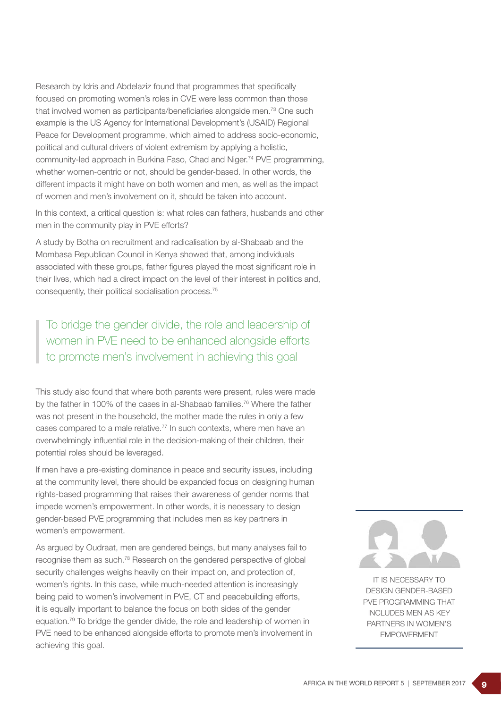Research by Idris and Abdelaziz found that programmes that specifically focused on promoting women's roles in CVE were less common than those that involved women as participants/beneficiaries alongside men.73 One such example is the US Agency for International Development's (USAID) Regional Peace for Development programme, which aimed to address socio-economic, political and cultural drivers of violent extremism by applying a holistic, community-led approach in Burkina Faso, Chad and Niger.<sup>74</sup> PVE programming, whether women-centric or not, should be gender-based. In other words, the different impacts it might have on both women and men, as well as the impact of women and men's involvement on it, should be taken into account.

In this context, a critical question is: what roles can fathers, husbands and other men in the community play in PVE efforts?

A study by Botha on recruitment and radicalisation by al-Shabaab and the Mombasa Republican Council in Kenya showed that, among individuals associated with these groups, father figures played the most significant role in their lives, which had a direct impact on the level of their interest in politics and, consequently, their political socialisation process.75

To bridge the gender divide, the role and leadership of women in PVE need to be enhanced alongside efforts to promote men's involvement in achieving this goal

This study also found that where both parents were present, rules were made by the father in 100% of the cases in al-Shabaab families.76 Where the father was not present in the household, the mother made the rules in only a few cases compared to a male relative.77 In such contexts, where men have an overwhelmingly influential role in the decision-making of their children, their potential roles should be leveraged.

If men have a pre-existing dominance in peace and security issues, including at the community level, there should be expanded focus on designing human rights-based programming that raises their awareness of gender norms that impede women's empowerment. In other words, it is necessary to design gender-based PVE programming that includes men as key partners in women's empowerment.

As argued by Oudraat, men are gendered beings, but many analyses fail to recognise them as such.78 Research on the gendered perspective of global security challenges weighs heavily on their impact on, and protection of, women's rights. In this case, while much-needed attention is increasingly being paid to women's involvement in PVE, CT and peacebuilding efforts, it is equally important to balance the focus on both sides of the gender equation.79 To bridge the gender divide, the role and leadership of women in PVE need to be enhanced alongside efforts to promote men's involvement in achieving this goal.



IT IS NECESSARY TO DESIGN GENDER-BASED PVE PROGRAMMING THAT INCLUDES MEN AS KEY PARTNERS IN WOMEN'S EMPOWERMENT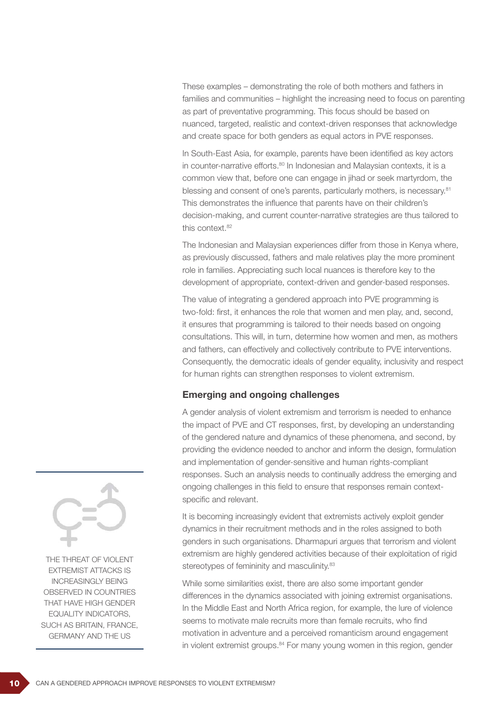These examples – demonstrating the role of both mothers and fathers in families and communities – highlight the increasing need to focus on parenting as part of preventative programming. This focus should be based on nuanced, targeted, realistic and context-driven responses that acknowledge and create space for both genders as equal actors in PVE responses.

In South-East Asia, for example, parents have been identified as key actors in counter-narrative efforts.<sup>80</sup> In Indonesian and Malaysian contexts, it is a common view that, before one can engage in jihad or seek martyrdom, the blessing and consent of one's parents, particularly mothers, is necessary.<sup>81</sup> This demonstrates the influence that parents have on their children's decision-making, and current counter-narrative strategies are thus tailored to this context.82

The Indonesian and Malaysian experiences differ from those in Kenya where, as previously discussed, fathers and male relatives play the more prominent role in families. Appreciating such local nuances is therefore key to the development of appropriate, context-driven and gender-based responses.

The value of integrating a gendered approach into PVE programming is two-fold: first, it enhances the role that women and men play, and, second, it ensures that programming is tailored to their needs based on ongoing consultations. This will, in turn, determine how women and men, as mothers and fathers, can effectively and collectively contribute to PVE interventions. Consequently, the democratic ideals of gender equality, inclusivity and respect for human rights can strengthen responses to violent extremism.

#### Emerging and ongoing challenges

A gender analysis of violent extremism and terrorism is needed to enhance the impact of PVE and CT responses, first, by developing an understanding of the gendered nature and dynamics of these phenomena, and second, by providing the evidence needed to anchor and inform the design, formulation and implementation of gender-sensitive and human rights-compliant responses. Such an analysis needs to continually address the emerging and ongoing challenges in this field to ensure that responses remain contextspecific and relevant.

It is becoming increasingly evident that extremists actively exploit gender dynamics in their recruitment methods and in the roles assigned to both genders in such organisations. Dharmapuri argues that terrorism and violent extremism are highly gendered activities because of their exploitation of rigid stereotypes of femininity and masculinity.<sup>83</sup>

While some similarities exist, there are also some important gender differences in the dynamics associated with joining extremist organisations. In the Middle East and North Africa region, for example, the lure of violence seems to motivate male recruits more than female recruits, who find motivation in adventure and a perceived romanticism around engagement in violent extremist groups.<sup>84</sup> For many young women in this region, gender



THE THREAT OF VIOLENT EXTREMIST ATTACKS IS INCREASINGLY BEING OBSERVED IN COUNTRIES THAT HAVE HIGH GENDER EQUALITY INDICATORS, SUCH AS BRITAIN, FRANCE, GERMANY AND THE US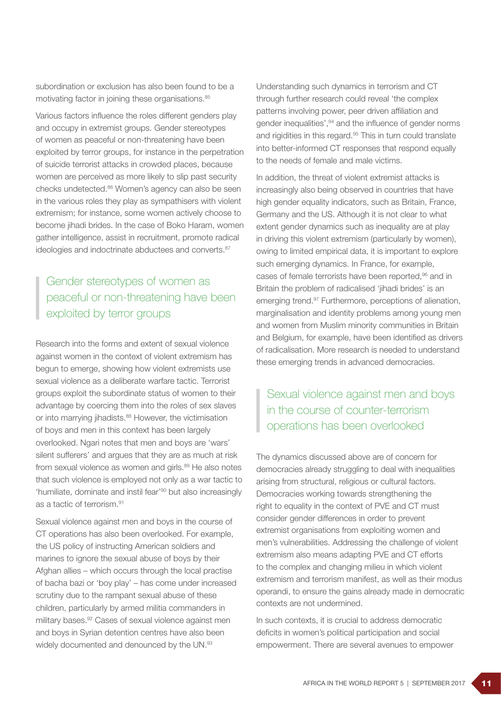subordination or exclusion has also been found to be a motivating factor in joining these organisations.<sup>85</sup>

Various factors influence the roles different genders play and occupy in extremist groups. Gender stereotypes of women as peaceful or non-threatening have been exploited by terror groups, for instance in the perpetration of suicide terrorist attacks in crowded places, because women are perceived as more likely to slip past security checks undetected.86 Women's agency can also be seen in the various roles they play as sympathisers with violent extremism; for instance, some women actively choose to become jihadi brides. In the case of Boko Haram, women gather intelligence, assist in recruitment, promote radical ideologies and indoctrinate abductees and converts.<sup>87</sup>

# Gender stereotypes of women as peaceful or non-threatening have been exploited by terror groups

Research into the forms and extent of sexual violence against women in the context of violent extremism has begun to emerge, showing how violent extremists use sexual violence as a deliberate warfare tactic. Terrorist groups exploit the subordinate status of women to their advantage by coercing them into the roles of sex slaves or into marrying jihadists.<sup>88</sup> However, the victimisation of boys and men in this context has been largely overlooked. Ngari notes that men and boys are 'wars' silent sufferers' and argues that they are as much at risk from sexual violence as women and girls.<sup>89</sup> He also notes that such violence is employed not only as a war tactic to 'humiliate, dominate and instil fear'90 but also increasingly as a tactic of terrorism.91

Sexual violence against men and boys in the course of CT operations has also been overlooked. For example, the US policy of instructing American soldiers and marines to ignore the sexual abuse of boys by their Afghan allies – which occurs through the local practise of bacha bazi or 'boy play' – has come under increased scrutiny due to the rampant sexual abuse of these children, particularly by armed militia commanders in military bases.92 Cases of sexual violence against men and boys in Syrian detention centres have also been widely documented and denounced by the UN.<sup>93</sup>

Understanding such dynamics in terrorism and CT through further research could reveal 'the complex patterns involving power, peer driven affiliation and gender inequalities',<sup>94</sup> and the influence of gender norms and rigidities in this regard.<sup>95</sup> This in turn could translate into better-informed CT responses that respond equally to the needs of female and male victims.

In addition, the threat of violent extremist attacks is increasingly also being observed in countries that have high gender equality indicators, such as Britain, France, Germany and the US. Although it is not clear to what extent gender dynamics such as inequality are at play in driving this violent extremism (particularly by women), owing to limited empirical data, it is important to explore such emerging dynamics. In France, for example, cases of female terrorists have been reported,<sup>96</sup> and in Britain the problem of radicalised 'jihadi brides' is an emerging trend.97 Furthermore, perceptions of alienation, marginalisation and identity problems among young men and women from Muslim minority communities in Britain and Belgium, for example, have been identified as drivers of radicalisation. More research is needed to understand these emerging trends in advanced democracies.

# Sexual violence against men and boys in the course of counter-terrorism operations has been overlooked

The dynamics discussed above are of concern for democracies already struggling to deal with inequalities arising from structural, religious or cultural factors. Democracies working towards strengthening the right to equality in the context of PVE and CT must consider gender differences in order to prevent extremist organisations from exploiting women and men's vulnerabilities. Addressing the challenge of violent extremism also means adapting PVE and CT efforts to the complex and changing milieu in which violent extremism and terrorism manifest, as well as their modus operandi, to ensure the gains already made in democratic contexts are not undermined.

In such contexts, it is crucial to address democratic deficits in women's political participation and social empowerment. There are several avenues to empower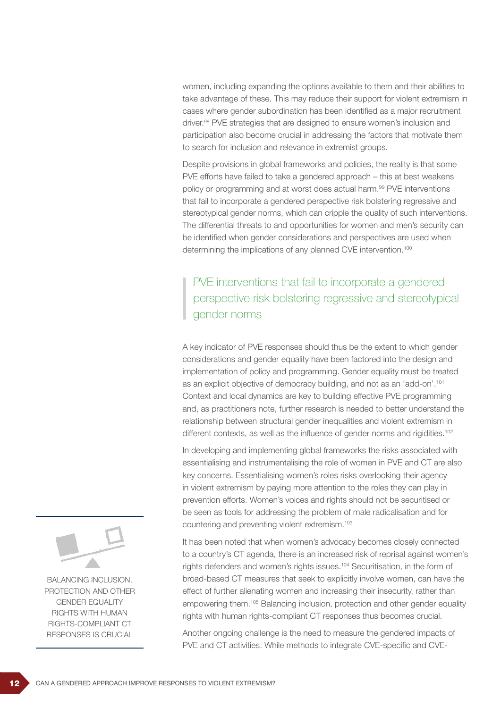women, including expanding the options available to them and their abilities to take advantage of these. This may reduce their support for violent extremism in cases where gender subordination has been identified as a major recruitment driver.98 PVE strategies that are designed to ensure women's inclusion and participation also become crucial in addressing the factors that motivate them to search for inclusion and relevance in extremist groups.

Despite provisions in global frameworks and policies, the reality is that some PVE efforts have failed to take a gendered approach – this at best weakens policy or programming and at worst does actual harm.<sup>99</sup> PVE interventions that fail to incorporate a gendered perspective risk bolstering regressive and stereotypical gender norms, which can cripple the quality of such interventions. The differential threats to and opportunities for women and men's security can be identified when gender considerations and perspectives are used when determining the implications of any planned CVE intervention.<sup>100</sup>

PVE interventions that fail to incorporate a gendered perspective risk bolstering regressive and stereotypical gender norms

A key indicator of PVE responses should thus be the extent to which gender considerations and gender equality have been factored into the design and implementation of policy and programming. Gender equality must be treated as an explicit objective of democracy building, and not as an 'add-on'.101 Context and local dynamics are key to building effective PVE programming and, as practitioners note, further research is needed to better understand the relationship between structural gender inequalities and violent extremism in different contexts, as well as the influence of gender norms and rigidities.<sup>102</sup>

In developing and implementing global frameworks the risks associated with essentialising and instrumentalising the role of women in PVE and CT are also key concerns. Essentialising women's roles risks overlooking their agency in violent extremism by paying more attention to the roles they can play in prevention efforts. Women's voices and rights should not be securitised or be seen as tools for addressing the problem of male radicalisation and for countering and preventing violent extremism.103

It has been noted that when women's advocacy becomes closely connected to a country's CT agenda, there is an increased risk of reprisal against women's rights defenders and women's rights issues.104 Securitisation, in the form of broad-based CT measures that seek to explicitly involve women, can have the effect of further alienating women and increasing their insecurity, rather than empowering them.105 Balancing inclusion, protection and other gender equality rights with human rights-compliant CT responses thus becomes crucial.

Another ongoing challenge is the need to measure the gendered impacts of PVE and CT activities. While methods to integrate CVE-specific and CVE-



BALANCING INCLUSION, PROTECTION AND OTHER GENDER EQUALITY RIGHTS WITH HUMAN RIGHTS-COMPLIANT CT RESPONSES IS CRUCIAL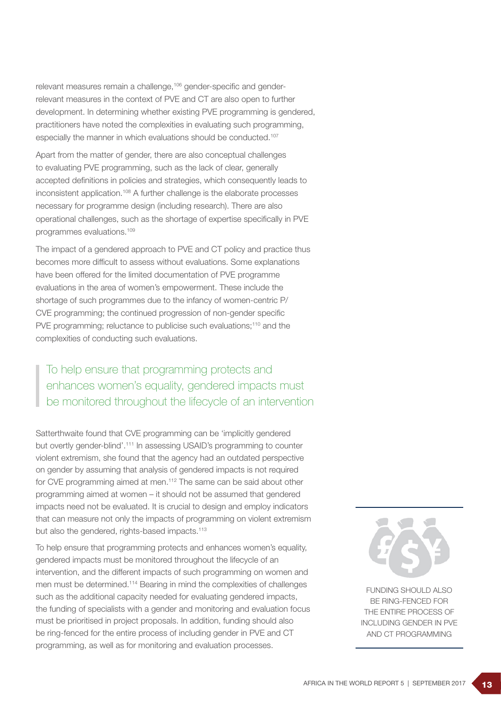relevant measures remain a challenge,<sup>106</sup> gender-specific and genderrelevant measures in the context of PVE and CT are also open to further development. In determining whether existing PVE programming is gendered, practitioners have noted the complexities in evaluating such programming, especially the manner in which evaluations should be conducted.<sup>107</sup>

Apart from the matter of gender, there are also conceptual challenges to evaluating PVE programming, such as the lack of clear, generally accepted definitions in policies and strategies, which consequently leads to inconsistent application.108 A further challenge is the elaborate processes necessary for programme design (including research). There are also operational challenges, such as the shortage of expertise specifically in PVE programmes evaluations.109

The impact of a gendered approach to PVE and CT policy and practice thus becomes more difficult to assess without evaluations. Some explanations have been offered for the limited documentation of PVE programme evaluations in the area of women's empowerment. These include the shortage of such programmes due to the infancy of women-centric P/ CVE programming; the continued progression of non-gender specific PVE programming; reluctance to publicise such evaluations;<sup>110</sup> and the complexities of conducting such evaluations.

# To help ensure that programming protects and enhances women's equality, gendered impacts must be monitored throughout the lifecycle of an intervention

Satterthwaite found that CVE programming can be 'implicitly gendered but overtly gender-blind'.<sup>111</sup> In assessing USAID's programming to counter violent extremism, she found that the agency had an outdated perspective on gender by assuming that analysis of gendered impacts is not required for CVE programming aimed at men.<sup>112</sup> The same can be said about other programming aimed at women – it should not be assumed that gendered impacts need not be evaluated. It is crucial to design and employ indicators that can measure not only the impacts of programming on violent extremism but also the gendered, rights-based impacts.<sup>113</sup>

To help ensure that programming protects and enhances women's equality, gendered impacts must be monitored throughout the lifecycle of an intervention, and the different impacts of such programming on women and men must be determined.114 Bearing in mind the complexities of challenges such as the additional capacity needed for evaluating gendered impacts, the funding of specialists with a gender and monitoring and evaluation focus must be prioritised in project proposals. In addition, funding should also be ring-fenced for the entire process of including gender in PVE and CT programming, as well as for monitoring and evaluation processes.



FUNDING SHOULD ALSO BE RING-FENCED FOR THE ENTIRE PROCESS OF INCLUDING GENDER IN PVE AND CT PROGRAMMING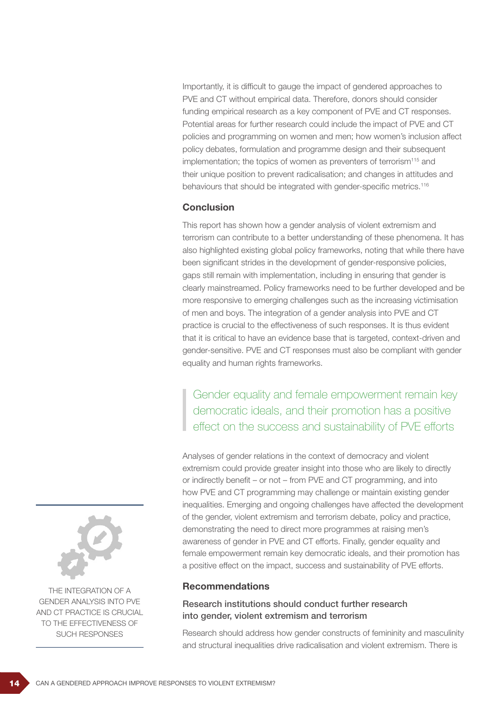Importantly, it is difficult to gauge the impact of gendered approaches to PVE and CT without empirical data. Therefore, donors should consider funding empirical research as a key component of PVE and CT responses. Potential areas for further research could include the impact of PVE and CT policies and programming on women and men; how women's inclusion affect policy debates, formulation and programme design and their subsequent implementation; the topics of women as preventers of terrorism<sup>115</sup> and their unique position to prevent radicalisation; and changes in attitudes and behaviours that should be integrated with gender-specific metrics.<sup>116</sup>

#### **Conclusion**

This report has shown how a gender analysis of violent extremism and terrorism can contribute to a better understanding of these phenomena. It has also highlighted existing global policy frameworks, noting that while there have been significant strides in the development of gender-responsive policies, gaps still remain with implementation, including in ensuring that gender is clearly mainstreamed. Policy frameworks need to be further developed and be more responsive to emerging challenges such as the increasing victimisation of men and boys. The integration of a gender analysis into PVE and CT practice is crucial to the effectiveness of such responses. It is thus evident that it is critical to have an evidence base that is targeted, context-driven and gender-sensitive. PVE and CT responses must also be compliant with gender equality and human rights frameworks.

Gender equality and female empowerment remain key democratic ideals, and their promotion has a positive effect on the success and sustainability of PVE efforts

Analyses of gender relations in the context of democracy and violent extremism could provide greater insight into those who are likely to directly or indirectly benefit – or not – from PVE and CT programming, and into how PVE and CT programming may challenge or maintain existing gender inequalities. Emerging and ongoing challenges have affected the development of the gender, violent extremism and terrorism debate, policy and practice, demonstrating the need to direct more programmes at raising men's awareness of gender in PVE and CT efforts. Finally, gender equality and female empowerment remain key democratic ideals, and their promotion has a positive effect on the impact, success and sustainability of PVE efforts.

#### Recommendations

## Research institutions should conduct further research into gender, violent extremism and terrorism

Research should address how gender constructs of femininity and masculinity and structural inequalities drive radicalisation and violent extremism. There is



THE INTEGRATION OF A GENDER ANALYSIS INTO PVE AND CT PRACTICE IS CRUCIAL TO THE EFFECTIVENESS OF SUCH RESPONSES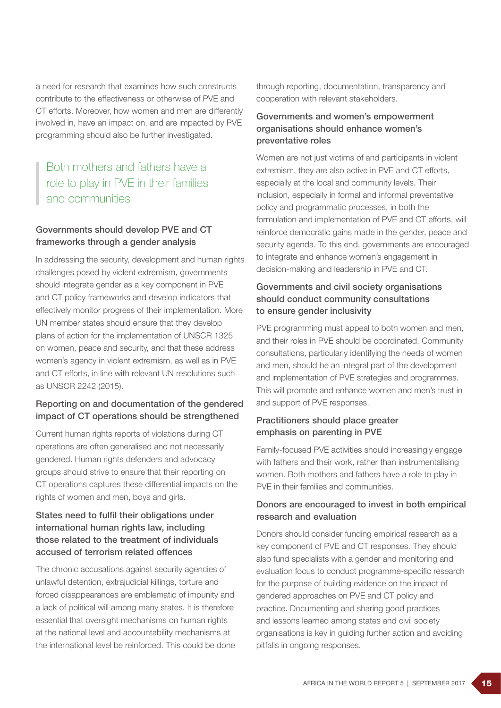a need for research that examines how such constructs contribute to the effectiveness or otherwise of PVE and CT efforts. Moreover, how women and men are differently involved in, have an impact on, and are impacted by PVE programming should also be further investigated.

# Both mothers and fathers have a role to play in PVE in their families and communities

## Governments should develop PVE and CT frameworks through a gender analysis

In addressing the security, development and human rights challenges posed by violent extremism, governments should integrate gender as a key component in PVE and CT policy frameworks and develop indicators that effectively monitor progress of their implementation. More UN member states should ensure that they develop plans of action for the implementation of UNSCR 1325 on women, peace and security, and that these address women's agency in violent extremism, as well as in PVE and CT efforts, in line with relevant UN resolutions such as UNSCR 2242 (2015).

## Reporting on and documentation of the gendered impact of CT operations should be strengthened

Current human rights reports of violations during CT operations are often generalised and not necessarily gendered. Human rights defenders and advocacy groups should strive to ensure that their reporting on CT operations captures these differential impacts on the rights of women and men, boys and girls.

## States need to fulfil their obligations under international human rights law, including those related to the treatment of individuals accused of terrorism related offences

The chronic accusations against security agencies of unlawful detention, extrajudicial killings, torture and forced disappearances are emblematic of impunity and a lack of political will among many states. It is therefore essential that oversight mechanisms on human rights at the national level and accountability mechanisms at the international level be reinforced. This could be done through reporting, documentation, transparency and cooperation with relevant stakeholders.

#### Governments and women's empowerment organisations should enhance women's preventative roles

Women are not just victims of and participants in violent extremism, they are also active in PVE and CT efforts, especially at the local and community levels. Their inclusion, especially in formal and informal preventative policy and programmatic processes, in both the formulation and implementation of PVE and CT efforts, will reinforce democratic gains made in the gender, peace and security agenda. To this end, governments are encouraged to integrate and enhance women's engagement in decision-making and leadership in PVE and CT.

## Governments and civil society organisations should conduct community consultations to ensure gender inclusivity

PVE programming must appeal to both women and men, and their roles in PVE should be coordinated. Community consultations, particularly identifying the needs of women and men, should be an integral part of the development and implementation of PVE strategies and programmes. This will promote and enhance women and men's trust in and support of PVE responses.

## Practitioners should place greater emphasis on parenting in PVE

Family-focused PVE activities should increasingly engage with fathers and their work, rather than instrumentalising women. Both mothers and fathers have a role to play in PVE in their families and communities.

## Donors are encouraged to invest in both empirical research and evaluation

Donors should consider funding empirical research as a key component of PVE and CT responses. They should also fund specialists with a gender and monitoring and evaluation focus to conduct programme-specific research for the purpose of building evidence on the impact of gendered approaches on PVE and CT policy and practice. Documenting and sharing good practices and lessons learned among states and civil society organisations is key in guiding further action and avoiding pitfalls in ongoing responses.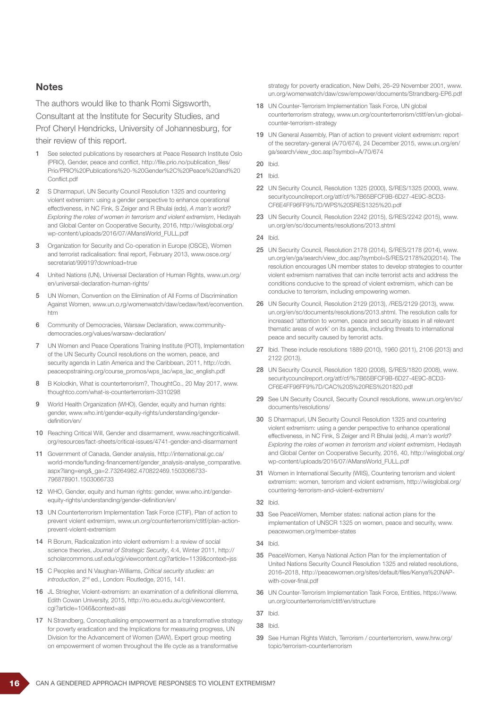#### **Notes**

The authors would like to thank Romi Sigsworth, Consultant at the Institute for Security Studies, and Prof Cheryl Hendricks, University of Johannesburg, for

their review of this report.

- 1 See selected publications by researchers at Peace Research Institute Oslo (PRIO), Gender, peace and conflict, http://file.prio.no/publication\_files/ Prio/PRIO%20Publications%20-%20Gender%2C%20Peace%20and%20 Conflict.pdf
- 2 S Dharmapuri, UN Security Council Resolution 1325 and countering violent extremism: using a gender perspective to enhance operational effectiveness, in NC Fink, S Zeiger and R Bhulai (eds), *A man's world? Exploring the roles of women in terrorism and violent extremism*, Hedayah and Global Center on Cooperative Security, 2016, http://wiisglobal.org/ wp-content/uploads/2016/07/AMansWorld\_FULL.pdf
- 3 Organization for Security and Co-operation in Europe (OSCE), Women and terrorist radicalisation: final report, February 2013, www.osce.org/ secretariat/99919?download=true
- 4 United Nations (UN), Universal Declaration of Human Rights, www.un.org/ en/universal-declaration-human-rights/
- 5 UN Women, Convention on the Elimination of All Forms of Discrimination Against Women, www.un.o,rg/womenwatch/daw/cedaw/text/econvention. htm
- 6 Community of Democracies, Warsaw Declaration, www.communitydemocracies.org/values/warsaw-declaration/
- 7 UN Women and Peace Operations Training Institute (POTI), Implementation of the UN Security Council resolutions on the women, peace, and security agenda in Latin America and the Caribbean, 2011, http://cdn. peaceopstraining.org/course\_promos/wps\_lac/wps\_lac\_english.pdf
- 8 B Kolodkin, What is counterterrorism?, ThoughtCo., 20 May 2017, www. thoughtco.com/what-is-counterterrorism-3310298
- 9 World Health Organization (WHO), Gender, equity and human rights: gender, www.who.int/gender-equity-rights/understanding/genderdefinition/en/
- 10 Reaching Critical Will, Gender and disarmament, www.reachingcriticalwill. org/resources/fact-sheets/critical-issues/4741-gender-and-disarmament
- 11 Government of Canada, Gender analysis, http://international.gc.ca/ world-monde/funding-financement/gender\_analysis-analyse\_comparative. aspx?lang=eng&\_ga=2.73264982.470822469.1503066733- 796878901.1503066733
- 12 WHO, Gender, equity and human rights: gender, www.who.int/genderequity-rights/understanding/gender-definition/en/
- 13 UN Counterterrorism Implementation Task Force (CTIF), Plan of action to prevent violent extremism, www.un.org/counterterrorism/ctitf/plan-actionprevent-violent-extremism
- 14 R Borum, Radicalization into violent extremism I: a review of social science theories, *Journal of Strategic Security*, 4:4, Winter 2011, http:// scholarcommons.usf.edu/cgi/viewcontent.cgi?article=1139&context=jss
- 15 C Peoples and N Vaughan-Williams, *Critical security studies: an introduction*, 2nd ed., London: Routledge, 2015, 141.
- 16 JL Striegher, Violent-extremism: an examination of a definitional dilemma, Edith Cowan University, 2015, http://ro.ecu.edu.au/cgi/viewcontent. cgi?article=1046&context=asi
- 17 N Strandberg, Conceptualising empowerment as a transformative strategy for poverty eradication and the Implications for measuring progress, UN Division for the Advancement of Women (DAW), Expert group meeting on empowerment of women throughout the life cycle as a transformative

strategy for poverty eradication, New Delhi, 26–29 November 2001, www. un.org/womenwatch/daw/csw/empower/documents/Strandberg-EP6.pdf

- 18 UN Counter-Terrorism Implementation Task Force, UN global counterterrorism strategy, www.un.org/counterterrorism/ctitf/en/un-globalcounter-terrorism-strategy
- 19 UN General Assembly, Plan of action to prevent violent extremism: report of the secretary-general (A/70/674), 24 December 2015, www.un.org/en/ ga/search/view\_doc.asp?symbol=A/70/674
- 20 Ibid.
- 21 Ibid.
- 22 UN Security Council, Resolution 1325 (2000), S/RES/1325 (2000), www. securitycouncilreport.org/atf/cf/%7B65BFCF9B-6D27-4E9C-8CD3- CF6E4FF96FF9%7D/WPS%20SRES1325%20.pdf
- 23 UN Security Council, Resolution 2242 (2015), S/RES/2242 (2015), www. un.org/en/sc/documents/resolutions/2013.shtml
- 24 Ibid.
- 25 UN Security Council, Resolution 2178 (2014), S/RES/2178 (2014), www. un.org/en/ga/search/view\_doc.asp?symbol=S/RES/2178%20(2014). The resolution encourages UN member states to develop strategies to counter violent extremism narratives that can incite terrorist acts and address the conditions conducive to the spread of violent extremism, which can be conducive to terrorism, including empowering women.
- 26 UN Security Council, Resolution 2129 (2013), /RES/2129 (2013), www. un.org/en/sc/documents/resolutions/2013.shtml. The resolution calls for increased 'attention to women, peace and security issues in all relevant thematic areas of work' on its agenda, including threats to international peace and security caused by terrorist acts.
- 27 Ibid. These include resolutions 1889 (2010), 1960 (2011), 2106 (2013) and 2122 (2013).
- 28 UN Security Council, Resolution 1820 (2008), S/RES/1820 (2008), www. securitycouncilreport.org/atf/cf/%7B65BFCF9B-6D27-4E9C-8CD3- CF6E4FF96FF9%7D/CAC%20S%20RES%201820.pdf
- 29 See UN Security Council, Security Council resolutions, www.un.org/en/sc/ documents/resolutions/
- 30 S Dharmapuri, UN Security Council Resolution 1325 and countering violent extremism: using a gender perspective to enhance operational effectiveness, in NC Fink, S Zeiger and R Bhulai (eds), *A man's world? Exploring the roles of women in terrorism and violent extremism*, Hedayah and Global Center on Cooperative Security, 2016, 40, http://wiisglobal.org/ wp-content/uploads/2016/07/AMansWorld\_FULL.pdf
- 31 Women in International Security (WIIS), Countering terrorism and violent extremism: women, terrorism and violent extremism, http://wiisglobal.org/ countering-terrorism-and-violent-extremism/
- 32 Ibid.
- 33 See PeaceWomen, Member states: national action plans for the implementation of UNSCR 1325 on women, peace and security, www. peacewomen.org/member-states
- 34 Ibid.
- 35 PeaceWomen, Kenya National Action Plan for the implementation of United Nations Security Council Resolution 1325 and related resolutions, 2016–2018, http://peacewomen.org/sites/default/files/Kenya%20NAPwith-cover-final.pdf
- 36 UN Counter-Terrorism Implementation Task Force, Entities, https://www. un.org/counterterrorism/ctitf/en/structure
- 37 Ibid
- 38 Ibid.
- 39 See Human Rights Watch, Terrorism / counterterrorism, www.hrw.org/ topic/terrorism-counterterrorism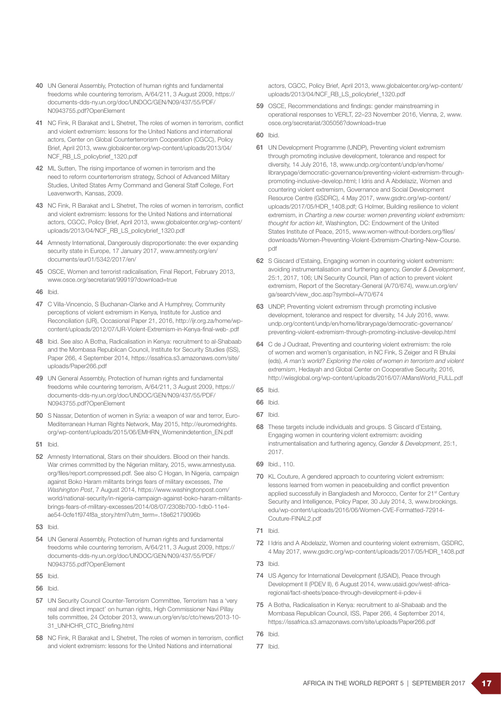- 40 UN General Assembly, Protection of human rights and fundamental freedoms while countering terrorism, A/64/211, 3 August 2009, https:// documents-dds-ny.un.org/doc/UNDOC/GEN/N09/437/55/PDF/ N0943755.pdf?OpenElement
- 41 NC Fink, R Barakat and L Shetret, The roles of women in terrorism, conflict and violent extremism: lessons for the United Nations and international actors, Center on Global Counterterrorism Cooperation (CGCC), Policy Brief, April 2013, www.globalcenter.org/wp-content/uploads/2013/04/ NCF\_RB\_LS\_policybrief\_1320.pdf
- 42 ML Sutten, The rising importance of women in terrorism and the need to reform counterterrorism strategy, School of Advanced Military Studies, United States Army Command and General Staff College, Fort Leavenworth, Kansas, 2009.
- 43 NC Fink, R Barakat and L Shetret, The roles of women in terrorism, conflict and violent extremism: lessons for the United Nations and international actors, CGCC, Policy Brief, April 2013, www.globalcenter.org/wp-content/ uploads/2013/04/NCF\_RB\_LS\_policybrief\_1320.pdf
- 44 Amnesty International, Dangerously disproportionate: the ever expanding security state in Europe, 17 January 2017, www.amnesty.org/en/ documents/eur01/5342/2017/en/
- 45 OSCE, Women and terrorist radicalisation, Final Report, February 2013, www.osce.org/secretariat/99919?download=true
- 46 Ibid.
- 47 C Villa-Vincencio, S Buchanan-Clarke and A Humphrey, Community perceptions of violent extremism in Kenya, Institute for Justice and Reconciliation (IJR), Occasional Paper 21, 2016, http://ijr.org.za/home/wpcontent/uploads/2012/07/IJR-Violent-Extremism-in-Kenya-final-web-.pdf
- 48 Ibid. See also A Botha, Radicalisation in Kenya: recruitment to al-Shabaab and the Mombasa Republican Council, Institute for Security Studies (ISS), Paper 266, 4 September 2014, https://issafrica.s3.amazonaws.com/site/ uploads/Paper266.pdf
- 49 UN General Assembly, Protection of human rights and fundamental freedoms while countering terrorism, A/64/211, 3 August 2009, https:// documents-dds-ny.un.org/doc/UNDOC/GEN/N09/437/55/PDF/ N0943755.pdf?OpenElement
- 50 S Nassar, Detention of women in Syria: a weapon of war and terror, Euro-Mediterranean Human Rights Network, May 2015, http://euromedrights. org/wp-content/uploads/2015/06/EMHRN\_Womenindetention\_EN.pdf
- 51 Ibid.
- 52 Amnesty International, Stars on their shoulders. Blood on their hands. War crimes committed by the Nigerian military, 2015, www.amnestyusa. org/files/report.compressed.pdf. See also C Hogan, In Nigeria, campaign against Boko Haram militants brings fears of military excesses, *The Washington Post*, 7 August 2014, https://www.washingtonpost.com/ world/national-security/in-nigeria-campaign-against-boko-haram-militantsbrings-fears-of-military-excesses/2014/08/07/2308b700-1db0-11e4 ae54-0cfe1f974f8a\_story.html?utm\_term=.18e62179096b
- 53 Ibid.
- 54 UN General Assembly, Protection of human rights and fundamental freedoms while countering terrorism, A/64/211, 3 August 2009, https:// documents-dds-ny.un.org/doc/UNDOC/GEN/N09/437/55/PDF/ N0943755.pdf?OpenElement
- 55 Ibid.
- 56 Ibid.
- 57 UN Security Council Counter-Terrorism Committee, Terrorism has a 'very real and direct impact' on human rights, High Commissioner Navi Pillay tells committee, 24 October 2013, www.un.org/en/sc/ctc/news/2013-10- 31\_UNHCHR\_CTC\_Briefing.html
- 58 NC Fink, R Barakat and L Shetret. The roles of women in terrorism, conflict and violent extremism: lessons for the United Nations and international

actors, CGCC, Policy Brief, April 2013, www.globalcenter.org/wp-content/ uploads/2013/04/NCF\_RB\_LS\_policybrief\_1320.pdf

- 59 OSCE, Recommendations and findings: gender mainstreaming in operational responses to VERLT, 22–23 November 2016, Vienna, 2, www. osce.org/secretariat/305056?download=true
- 60 Ibid.
- 61 UN Development Programme (UNDP), Preventing violent extremism through promoting inclusive development, tolerance and respect for diversity, 14 July 2016, 18, www.undp.org/content/undp/en/home/ librarypage/democratic-governance/preventing-violent-extremism-throughpromoting-inclusive-develop.html; I Idris and A Abdelaziz, Women and countering violent extremism, Governance and Social Development Resource Centre (GSDRC), 4 May 2017, www.gsdrc.org/wp-content/ uploads/2017/05/HDR\_1408.pdf; G Holmer, Building resilience to violent extremism, in *Charting a new course: women preventing violent extremism: thought for action kit*, Washington, DC: Endowment of the United States Institute of Peace, 2015, www.women-without-borders.org/files/ downloads/Women-Preventing-Violent-Extremism-Charting-New-Course. pdf
- 62 S Giscard d'Estaing, Engaging women in countering violent extremism: avoiding instrumentalisation and furthering agency, *Gender & Development*, 25:1, 2017, 106; UN Security Council, Plan of action to prevent violent extremism, Report of the Secretary-General (A/70/674), www.un.org/en/ ga/search/view\_doc.asp?symbol=A/70/674
- 63 UNDP, Preventing violent extremism through promoting inclusive development, tolerance and respect for diversity, 14 July 2016, www. undp.org/content/undp/en/home/librarypage/democratic-governance/ preventing-violent-extremism-through-promoting-inclusive-develop.html
- 64 C de J Oudraat, Preventing and countering violent extremism: the role of women and women's organisation, in NC Fink, S Zeiger and R Bhulai (eds), *A man's world? Exploring the roles of women in terrorism and violent extremism*, Hedayah and Global Center on Cooperative Security, 2016, http://wiisglobal.org/wp-content/uploads/2016/07/AMansWorld\_FULL.pdf
- 65 Ibid.
- 66 Ibid.
- 67 Ibid.
- 68 These targets include individuals and groups. S Giscard d'Estaing, Engaging women in countering violent extremism: avoiding instrumentalisation and furthering agency, *Gender & Development*, 25:1, 2017.
- 69 Ibid., 110.
- 70 KL Couture, A gendered approach to countering violent extremism: lessons learned from women in peacebuilding and conflict prevention applied successfully in Bangladesh and Morocco, Center for 21st Century Security and Intelligence, Policy Paper, 30 July 2014, 3, www.brookings. edu/wp-content/uploads/2016/06/Women-CVE-Formatted-72914- Couture-FINAL2.pdf
- 71 Ibid.
- 72 I Idris and A Abdelaziz, Women and countering violent extremism, GSDRC, 4 May 2017, www.gsdrc.org/wp-content/uploads/2017/05/HDR\_1408.pdf
- 73 Ibid.
- 74 US Agency for International Development (USAID), Peace through Development II (PDEV II), 6 August 2014, www.usaid.gov/west-africaregional/fact-sheets/peace-through-development-ii-pdev-ii
- 75 A Botha, Radicalisation in Kenya: recruitment to al-Shabaab and the Mombasa Republican Council, ISS, Paper 266, 4 September 2014, https://issafrica.s3.amazonaws.com/site/uploads/Paper266.pdf
- 76 Ibid.
- 77 Ibid.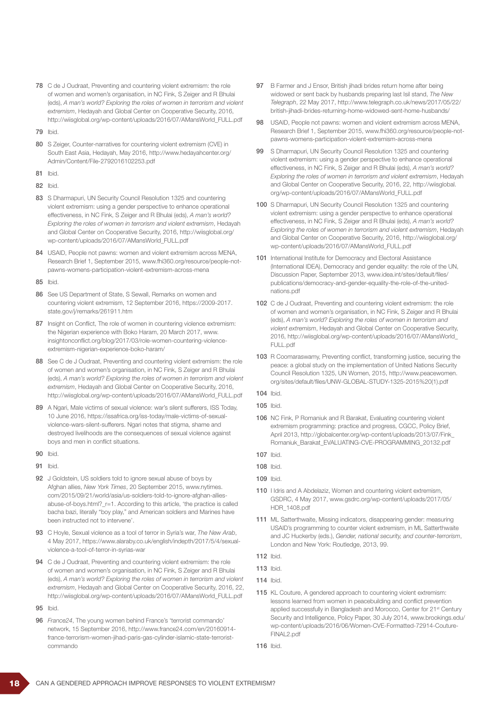- 78 C de J Oudraat, Preventing and countering violent extremism: the role of women and women's organisation, in NC Fink, S Zeiger and R Bhulai (eds), *A man's world? Exploring the roles of women in terrorism and violent extremism*, Hedayah and Global Center on Cooperative Security, 2016, http://wiisglobal.org/wp-content/uploads/2016/07/AMansWorld\_FULL.pdf
- 79 Ibid.
- 80 S Zeiger, Counter-narratives for countering violent extremism (CVE) in South East Asia, Hedayah, May 2016, http://www.hedayahcenter.org/ Admin/Content/File-2792016102253.pdf
- 81 Ibid.
- 82 Ibid.
- 83 S Dharmapuri, UN Security Council Resolution 1325 and countering violent extremism: using a gender perspective to enhance operational effectiveness, in NC Fink, S Zeiger and R Bhulai (eds), *A man's world? Exploring the roles of women in terrorism and violent extremism*, Hedayah and Global Center on Cooperative Security, 2016, http://wiisglobal.org/ wp-content/uploads/2016/07/AMansWorld\_FULL.pdf
- 84 USAID, People not pawns: women and violent extremism across MENA, Research Brief 1, September 2015, www.fhi360.org/resource/people-notpawns-womens-participation-violent-extremism-across-mena
- 85 Ibid.
- 86 See US Department of State, S Sewall, Remarks on women and countering violent extremism, 12 September 2016, https://2009-2017. state.gov/j/remarks/261911.htm
- 87 Insight on Conflict, The role of women in countering violence extremism: the Nigerian experience with Boko Haram, 20 March 2017, www. insightonconflict.org/blog/2017/03/role-women-countering-violenceextremism-nigerian-experience-boko-haram/
- 88 See C de J Oudraat, Preventing and countering violent extremism: the role of women and women's organisation, in NC Fink, S Zeiger and R Bhulai (eds), *A man's world? Exploring the roles of women in terrorism and violent extremism*, Hedayah and Global Center on Cooperative Security, 2016, http://wiisglobal.org/wp-content/uploads/2016/07/AMansWorld\_FULL.pdf
- 89 A Ngari, Male victims of sexual violence: war's silent sufferers, ISS Today, 10 June 2016, https://issafrica.org/iss-today/male-victims-of-sexualviolence-wars-silent-sufferers. Ngari notes that stigma, shame and destroyed livelihoods are the consequences of sexual violence against boys and men in conflict situations.
- 90 Ibid.
- 91 Ibid.
- 92 J Goldstein, US soldiers told to ignore sexual abuse of boys by Afghan allies, *New York Times*, 20 September 2015, www.nytimes. com/2015/09/21/world/asia/us-soldiers-told-to-ignore-afghan-alliesabuse-of-boys.html?\_r=1. According to this article, 'the practice is called bacha bazi, literally "boy play," and American soldiers and Marines have been instructed not to intervene'.
- 93 C Hoyle, Sexual violence as a tool of terror in Syria's war, *The New Arab*, 4 May 2017, https://www.alaraby.co.uk/english/indepth/2017/5/4/sexualviolence-a-tool-of-terror-in-syrias-war
- 94 C de J Oudraat, Preventing and countering violent extremism: the role of women and women's organisation, in NC Fink, S Zeiger and R Bhulai (eds), *A man's world? Exploring the roles of women in terrorism and violent extremism*, Hedayah and Global Center on Cooperative Security, 2016, 22, http://wiisglobal.org/wp-content/uploads/2016/07/AMansWorld\_FULL.pdf
- 95 Ibid.
- 96 *France24*, The young women behind France's 'terrorist commando' network, 15 September 2016, http://www.france24.com/en/20160914 france-terrorism-women-jihad-paris-gas-cylinder-islamic-state-terroristcommando
- 97 B Farmer and J Ensor, British jihadi brides return home after being widowed or sent back by husbands preparing last Isil stand, *The New Telegraph*, 22 May 2017, http://www.telegraph.co.uk/news/2017/05/22/ british-jihadi-brides-returning-home-widowed-sent-home-husbands/
- 98 USAID, People not pawns: women and violent extremism across MENA, Research Brief 1, September 2015, www.fhi360.org/resource/people-notpawns-womens-participation-violent-extremism-across-mena
- 99 S Dharmapuri, UN Security Council Resolution 1325 and countering violent extremism: using a gender perspective to enhance operational effectiveness, in NC Fink, S Zeiger and R Bhulai (eds), *A man's world? Exploring the roles of women in terrorism and violent extremism*, Hedayah and Global Center on Cooperative Security, 2016, 22, http://wiisglobal. org/wp-content/uploads/2016/07/AMansWorld\_FULL.pdf
- 100 S Dharmapuri, UN Security Council Resolution 1325 and countering violent extremism: using a gender perspective to enhance operational effectiveness, in NC Fink, S Zeiger and R Bhulai (eds), *A man's world? Exploring the roles of women in terrorism and violent extremism*, Hedayah and Global Center on Cooperative Security, 2016, http://wiisglobal.org/ wp-content/uploads/2016/07/AMansWorld\_FULL.pdf
- 101 International Institute for Democracy and Electoral Assistance (International IDEA), Democracy and gender equality: the role of the UN, Discussion Paper, September 2013, www.idea.int/sites/default/files/ publications/democracy-and-gender-equality-the-role-of-the-unitednations.pdf
- 102 C de J Oudraat, Preventing and countering violent extremism: the role of women and women's organisation, in NC Fink, S Zeiger and R Bhulai (eds), *A man's world? Exploring the roles of women in terrorism and violent extremism*, Hedayah and Global Center on Cooperative Security, 2016, http://wiisglobal.org/wp-content/uploads/2016/07/AMansWorld\_ FULL.pdf
- 103 R Coomaraswamy, Preventing conflict, transforming justice, securing the peace: a global study on the implementation of United Nations Security Council Resolution 1325, UN Women, 2015, http://www.peacewomen. org/sites/default/files/UNW-GLOBAL-STUDY-1325-2015%20(1).pdf

- 105 Ibid.
- 106 NC Fink, P Romaniuk and R Barakat, Evaluating countering violent extremism programming: practice and progress, CGCC, Policy Brief, April 2013, http://globalcenter.org/wp-content/uploads/2013/07/Fink\_ Romaniuk\_Barakat\_EVALUATING-CVE-PROGRAMMING\_20132.pdf
- 107 Ibid.
- 108 Ibid.
- 109 Ibid.
- 110 I Idris and A Abdelaziz, Women and countering violent extremism, GSDRC, 4 May 2017, www.gsdrc.org/wp-content/uploads/2017/05/ HDR\_1408.pdf
- 111 ML Satterthwaite, Missing indicators, disappearing gender: measuring USAID's programming to counter violent extremism, in ML Satterthwaite and JC Huckerby (eds.), *Gender, national security, and counter-terrorism*, London and New York: Routledge, 2013, 99.
- 112 Ibid.
- 113 Ibid.
- 114 Ibid.
- 115 KL Couture, A gendered approach to countering violent extremism: lessons learned from women in peacebuilding and conflict prevention applied successfully in Bangladesh and Morocco, Center for 21<sup>st</sup> Century Security and Intelligence, Policy Paper, 30 July 2014, www.brookings.edu/ wp-content/uploads/2016/06/Women-CVE-Formatted-72914-Couture-FINAL2.pdf
- 116 Ibid.

<sup>104</sup> Ibid.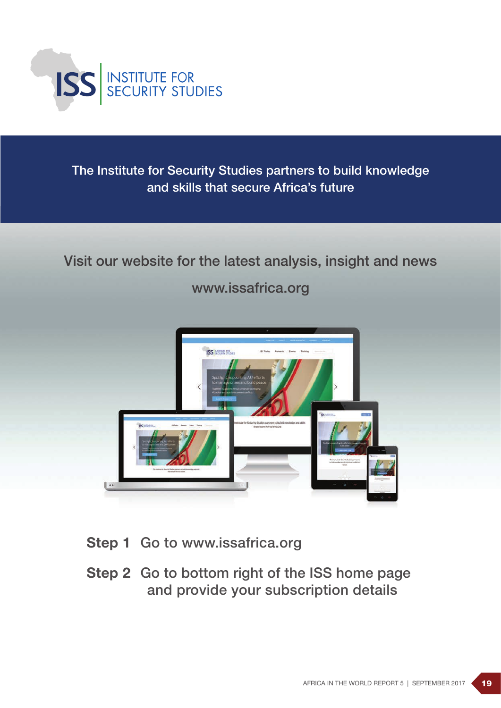

The Institute for Security Studies partners to build knowledge and skills that secure Africa's future

# Visit our website for the latest analysis, insight and news

www.issafrica.org



- Step 1 Go to www.issafrica.org
- Step 2 Go to bottom right of the ISS home page and provide your subscription details